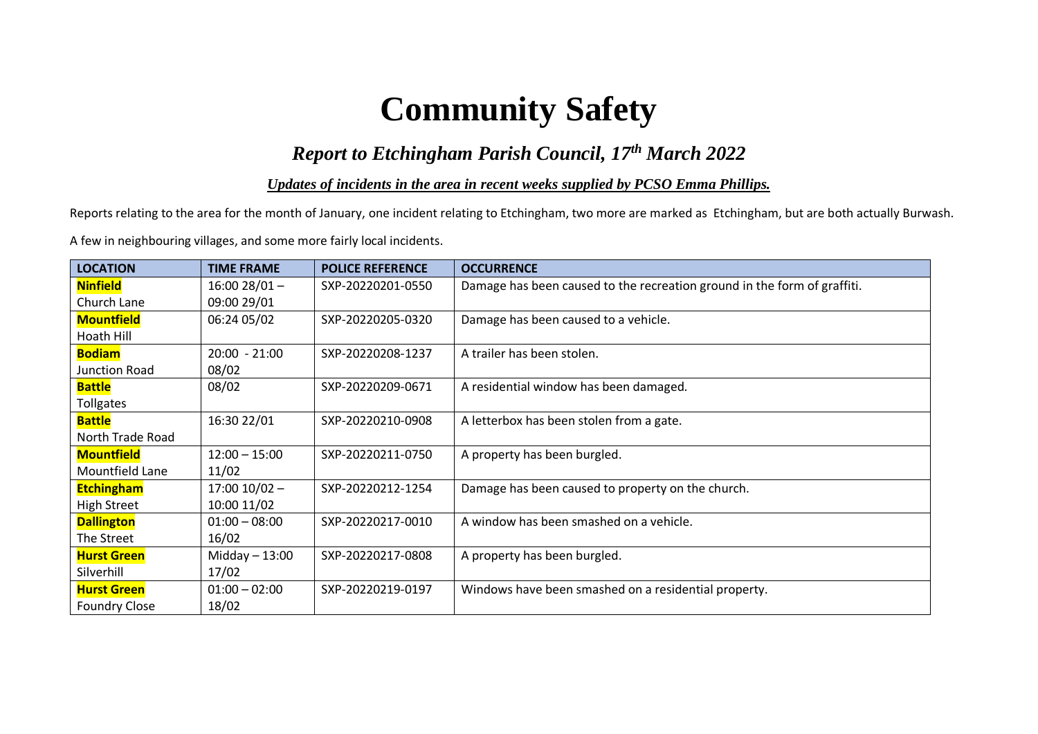# **Community Safety**

# *Report to Etchingham Parish Council, 17th March 2022*

*Updates of incidents in the area in recent weeks supplied by PCSO Emma Phillips.*

Reports relating to the area for the month of January, one incident relating to Etchingham, two more are marked as Etchingham, but are both actually Burwash.

A few in neighbouring villages, and some more fairly local incidents.

| <b>LOCATION</b>      | <b>TIME FRAME</b> | <b>POLICE REFERENCE</b> | <b>OCCURRENCE</b>                                                        |
|----------------------|-------------------|-------------------------|--------------------------------------------------------------------------|
| <b>Ninfield</b>      | $16:0028/01 -$    | SXP-20220201-0550       | Damage has been caused to the recreation ground in the form of graffiti. |
| Church Lane          | 09:00 29/01       |                         |                                                                          |
| <b>Mountfield</b>    | 06:24 05/02       | SXP-20220205-0320       | Damage has been caused to a vehicle.                                     |
| Hoath Hill           |                   |                         |                                                                          |
| <b>Bodiam</b>        | $20:00 - 21:00$   | SXP-20220208-1237       | A trailer has been stolen.                                               |
| Junction Road        | 08/02             |                         |                                                                          |
| <b>Battle</b>        | 08/02             | SXP-20220209-0671       | A residential window has been damaged.                                   |
| <b>Tollgates</b>     |                   |                         |                                                                          |
| <b>Battle</b>        | 16:30 22/01       | SXP-20220210-0908       | A letterbox has been stolen from a gate.                                 |
| North Trade Road     |                   |                         |                                                                          |
| <b>Mountfield</b>    | $12:00 - 15:00$   | SXP-20220211-0750       | A property has been burgled.                                             |
| Mountfield Lane      | 11/02             |                         |                                                                          |
| <b>Etchingham</b>    | $17:00$ $10/02$ - | SXP-20220212-1254       | Damage has been caused to property on the church.                        |
| <b>High Street</b>   | 10:00 11/02       |                         |                                                                          |
| <b>Dallington</b>    | $01:00 - 08:00$   | SXP-20220217-0010       | A window has been smashed on a vehicle.                                  |
| The Street           | 16/02             |                         |                                                                          |
| <b>Hurst Green</b>   | $Midday - 13:00$  | SXP-20220217-0808       | A property has been burgled.                                             |
| Silverhill           | 17/02             |                         |                                                                          |
| <b>Hurst Green</b>   | $01:00 - 02:00$   | SXP-20220219-0197       | Windows have been smashed on a residential property.                     |
| <b>Foundry Close</b> | 18/02             |                         |                                                                          |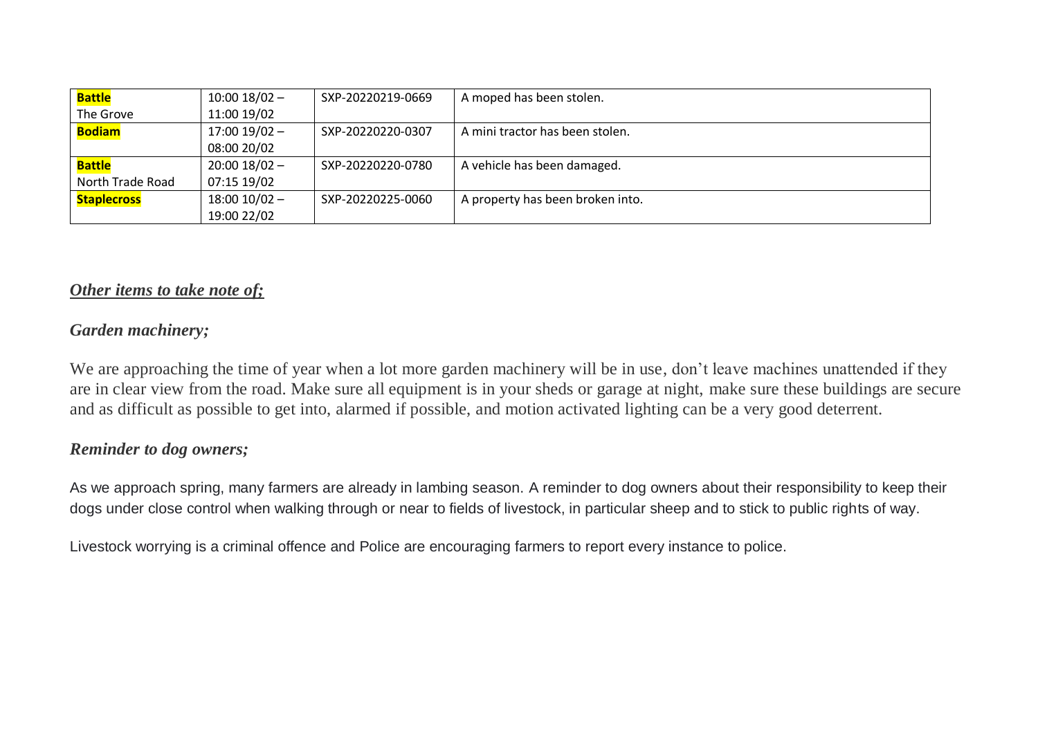| <b>Battle</b>      | $10:00$ $18/02$ - | SXP-20220219-0669 | A moped has been stolen.         |
|--------------------|-------------------|-------------------|----------------------------------|
| The Grove          | 11:00 19/02       |                   |                                  |
| <b>Bodiam</b>      | $17:00$ $19/02$ - | SXP-20220220-0307 | A mini tractor has been stolen.  |
|                    | 08:00 20/02       |                   |                                  |
| Battle             | $20:00$ 18/02 -   | SXP-20220220-0780 | A vehicle has been damaged.      |
| North Trade Road   | 07:15 19/02       |                   |                                  |
| <b>Staplecross</b> | $18:00$ $10/02$ - | SXP-20220225-0060 | A property has been broken into. |
|                    | 19:00 22/02       |                   |                                  |

## *Other items to take note of;*

## *Garden machinery;*

We are approaching the time of year when a lot more garden machinery will be in use, don't leave machines unattended if they are in clear view from the road. Make sure all equipment is in your sheds or garage at night, make sure these buildings are secure and as difficult as possible to get into, alarmed if possible, and motion activated lighting can be a very good deterrent.

#### *Reminder to dog owners;*

As we approach spring, many farmers are already in lambing season. A reminder to dog owners about their responsibility to keep their dogs under close control when walking through or near to fields of livestock, in particular sheep and to stick to public rights of way.

Livestock worrying is a criminal offence and Police are encouraging farmers to report every instance to police.